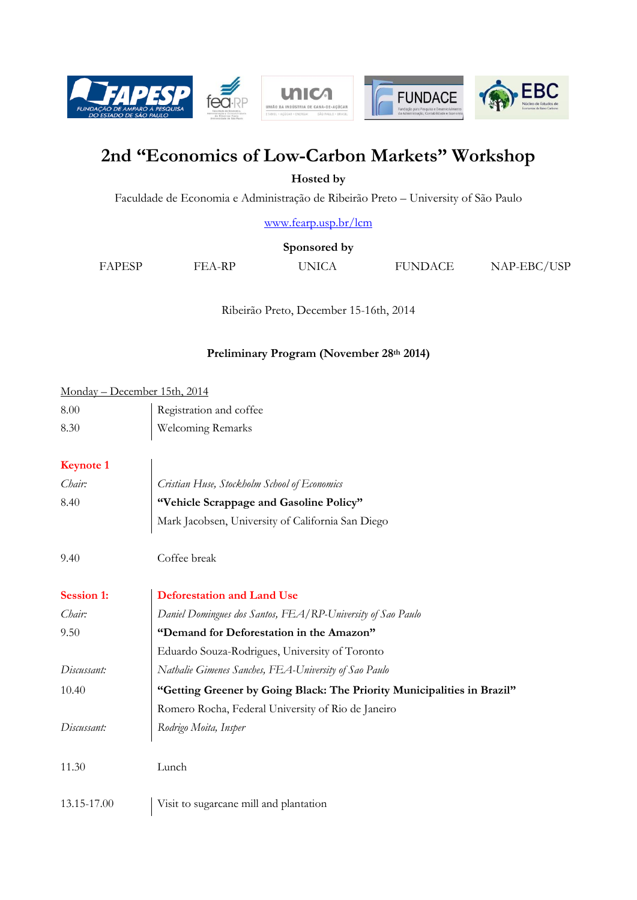

# **2nd "Economics of Low-Carbon Markets" Workshop**

**Hosted by** 

Faculdade de Economia e Administração de Ribeirão Preto – University of São Paulo

[www.fearp.usp.br/lcm](http://www.fearp.usp.br/lcm)

**Sponsored by**

FAPESP FEA-RP UNICA FUNDACE NAP-EBC/USP

Ribeirão Preto, December 15-16th, 2014

# **Preliminary Program (November 28th 2014)**

## Monday – December 15th, 2014

| 8.00 | Registration and coffee  |
|------|--------------------------|
| 8.30 | <b>Welcoming Remarks</b> |

# **Keynote 1**

| Chair:            | Cristian Huse, Stockholm School of Economics                            |
|-------------------|-------------------------------------------------------------------------|
| 8.40              | "Vehicle Scrappage and Gasoline Policy"                                 |
|                   | Mark Jacobsen, University of California San Diego                       |
| 9.40              | Coffee break                                                            |
| <b>Session 1:</b> | <b>Deforestation and Land Use</b>                                       |
| Chair:            | Daniel Domingues dos Santos, FEA/RP-University of Sao Paulo             |
| 9.50              | "Demand for Deforestation in the Amazon"                                |
|                   | Eduardo Souza-Rodrigues, University of Toronto                          |
| Discussant:       | Nathalie Gimenes Sanches, FEA-University of Sao Paulo                   |
| 10.40             | "Getting Greener by Going Black: The Priority Municipalities in Brazil" |
|                   | Romero Rocha, Federal University of Rio de Janeiro                      |
| Discussant:       | Rodrigo Moita, Insper                                                   |
| 11.30             | Lunch                                                                   |
| 13.15-17.00       | Visit to sugarcane mill and plantation                                  |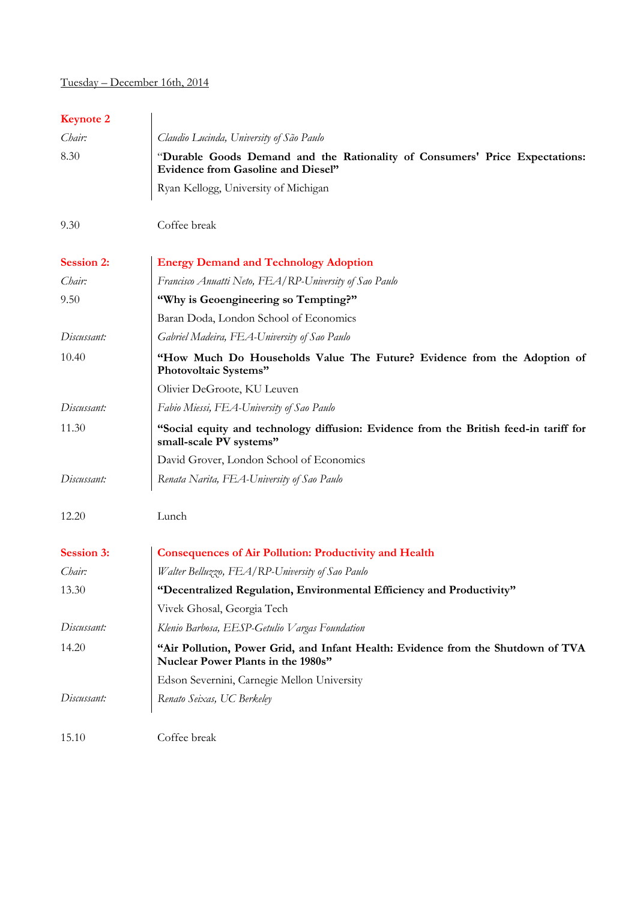# Tuesday – December 16th, 2014

# **Keynote 2**

| Chair:            | Claudio Lucinda, University of São Paulo                                                                                 |
|-------------------|--------------------------------------------------------------------------------------------------------------------------|
| 8.30              | "Durable Goods Demand and the Rationality of Consumers' Price Expectations:<br><b>Evidence from Gasoline and Diesel"</b> |
|                   | Ryan Kellogg, University of Michigan                                                                                     |
| 9.30              | Coffee break                                                                                                             |
| <b>Session 2:</b> | <b>Energy Demand and Technology Adoption</b>                                                                             |
| Chair:            | Francisco Anuatti Neto, FEA/RP-University of Sao Paulo                                                                   |
| 9.50              | "Why is Geoengineering so Tempting?"                                                                                     |
|                   | Baran Doda, London School of Economics                                                                                   |
| Discussant:       | Gabriel Madeira, FEA-University of Sao Paulo                                                                             |
| 10.40             | "How Much Do Households Value The Future? Evidence from the Adoption of<br>Photovoltaic Systems"                         |
|                   | Olivier DeGroote, KU Leuven                                                                                              |
| Discussant:       | Fabio Miessi, FEA-University of Sao Paulo                                                                                |
| 11.30             | "Social equity and technology diffusion: Evidence from the British feed-in tariff for<br>small-scale PV systems"         |
|                   | David Grover, London School of Economics                                                                                 |
| Discussant:       | Renata Narita, FEA-University of Sao Paulo                                                                               |
| 12.20             | Lunch                                                                                                                    |
| <b>Session 3:</b> | <b>Consequences of Air Pollution: Productivity and Health</b>                                                            |
| Chair:            | Walter Belluzzo, FEA/RP-University of Sao Paulo                                                                          |
| 13.30             | "Decentralized Regulation, Environmental Efficiency and Productivity"                                                    |
|                   | Vivek Ghosal, Georgia Tech                                                                                               |
| Discussant:       | Klenio Barbosa, EESP-Getulio Vargas Foundation                                                                           |
| 14.20             | "Air Pollution, Power Grid, and Infant Health: Evidence from the Shutdown of TVA<br>Nuclear Power Plants in the 1980s"   |
|                   | Edson Severnini, Carnegie Mellon University                                                                              |
| Discussant:       | Renato Seixas, UC Berkeley                                                                                               |
| 15.10             | Coffee break                                                                                                             |